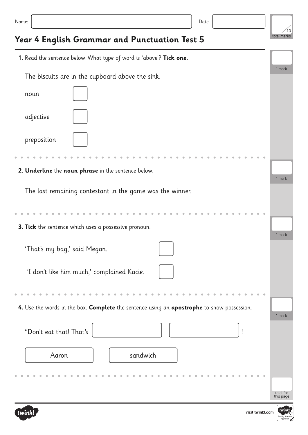| ×<br>. .<br>۰. | ٠<br>I |  |
|----------------|--------|--|
|                |        |  |



## **Year 4 English Grammar and Punctuation Test 5**

| 1. Read the sentence below. What type of word is 'above'? Tick one.                        |           |  |  |  |
|--------------------------------------------------------------------------------------------|-----------|--|--|--|
|                                                                                            |           |  |  |  |
| The biscuits are in the cupboard above the sink.                                           |           |  |  |  |
| noun                                                                                       |           |  |  |  |
| adjective                                                                                  |           |  |  |  |
| preposition                                                                                |           |  |  |  |
|                                                                                            |           |  |  |  |
| 2. Underline the noun phrase in the sentence below.                                        |           |  |  |  |
|                                                                                            | 1 mark    |  |  |  |
| The last remaining contestant in the game was the winner.                                  |           |  |  |  |
|                                                                                            |           |  |  |  |
| 3. Tick the sentence which uses a possessive pronoun.                                      |           |  |  |  |
|                                                                                            | 1 mark    |  |  |  |
| 'That's my bag,' said Megan.                                                               |           |  |  |  |
| 'I don't like him much,' complained Kacie.                                                 |           |  |  |  |
|                                                                                            |           |  |  |  |
| 4. Use the words in the box. Complete the sentence using an apostrophe to show possession. |           |  |  |  |
|                                                                                            | 1 mark    |  |  |  |
| "Don't eat that! That's                                                                    |           |  |  |  |
| sandwich<br>Aaron                                                                          |           |  |  |  |
|                                                                                            |           |  |  |  |
|                                                                                            |           |  |  |  |
|                                                                                            | total for |  |  |  |
|                                                                                            | this page |  |  |  |



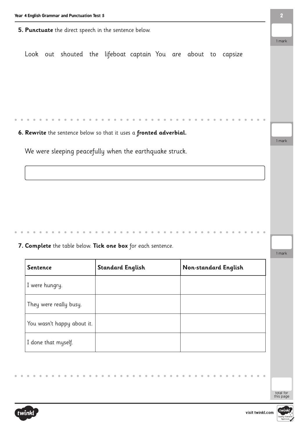**5. Punctuate** the direct speech in the sentence below.

Look out shouted the lifeboat captain You are about to capsize

**6. Rewrite** the sentence below so that it uses a **fronted adverbial.**

We were sleeping peacefully when the earthquake struck.

**7. Complete** the table below. **Tick one box** for each sentence.

| <b>Sentence</b>            | <b>Standard English</b> | Non-standard English |
|----------------------------|-------------------------|----------------------|
| I were hungry.             |                         |                      |
| They were really busy.     |                         |                      |
| You wasn't happy about it. |                         |                      |
| I done that myself.        |                         |                      |

twinkl



total for this page

1 mark

1 mark

1 mark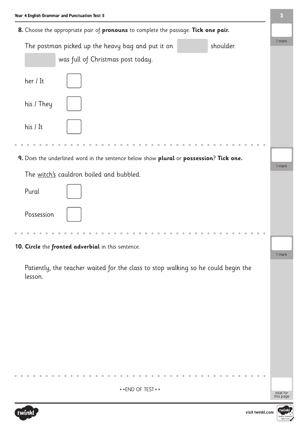| Year 4 English Grammar and Punctuation Test 5                                                | 3      |
|----------------------------------------------------------------------------------------------|--------|
| 8. Choose the appropriate pair of pronouns to complete the passage. Tick one pair.           |        |
| shoulder.<br>The postman picked up the heavy bag and put it on                               | 1 mark |
| was full of Christmas post today.                                                            |        |
| her / It                                                                                     |        |
| his / They                                                                                   |        |
| his / It                                                                                     |        |
|                                                                                              |        |
| 9. Does the underlined word in the sentence below show plural or possession? Tick one.       | 1 mark |
| The witch's cauldron boiled and bubbled.                                                     |        |
| Pural                                                                                        |        |
| Possession                                                                                   |        |
|                                                                                              |        |
| 10. Circle the fronted adverbial in this sentence.                                           |        |
|                                                                                              | 1 mark |
| Patiently, the teacher waited for the class to stop walking so he could begin the<br>lesson. |        |
|                                                                                              |        |
|                                                                                              |        |
|                                                                                              |        |
|                                                                                              |        |
|                                                                                              |        |
|                                                                                              |        |
|                                                                                              |        |
|                                                                                              |        |

\*\*END OF TEST\*\*





total for<br>this page